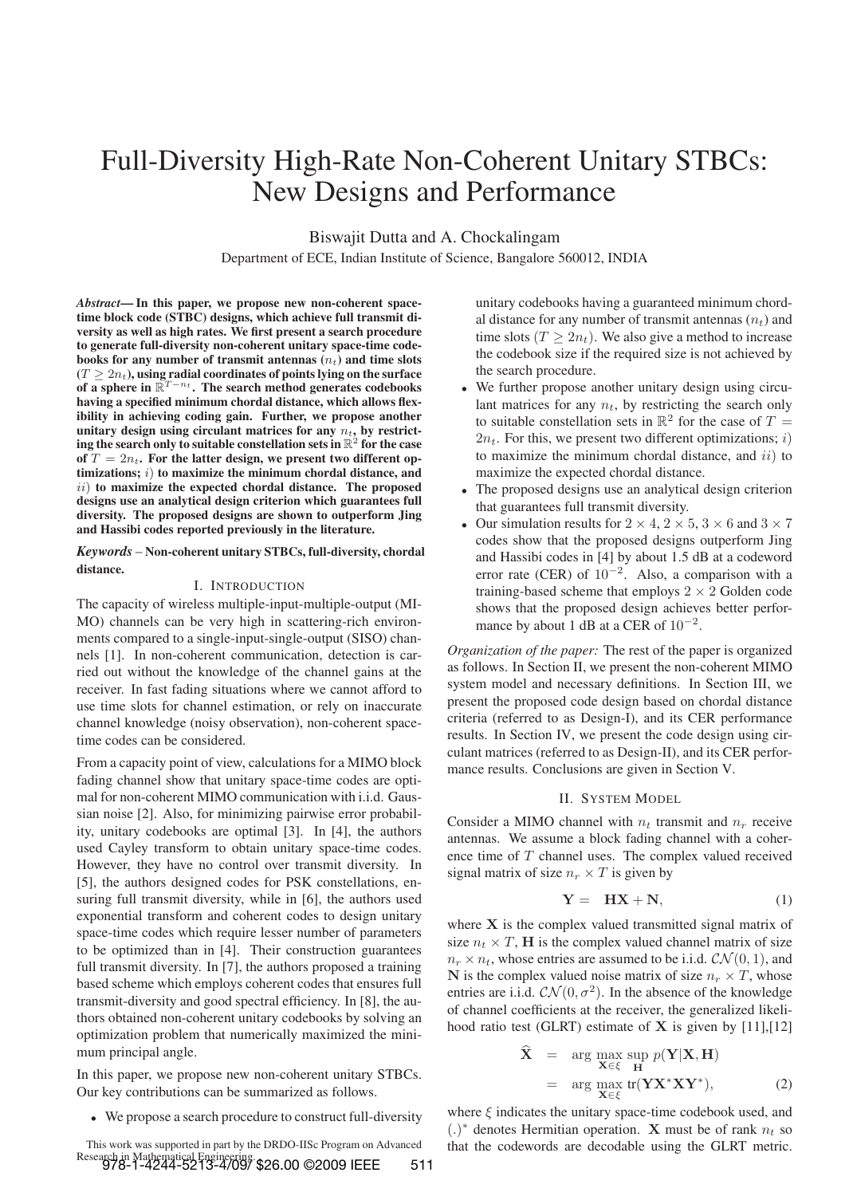# Full-Diversity High-Rate Non-Coherent Unitary STBCs: New Designs and Performance

Biswajit Dutta and A. Chockalingam

Department of ECE, Indian Institute of Science, Bangalore 560012, INDIA

*Abstract***— In this paper, we propose new non-coherent spacetime block code (STBC) designs, which achieve full transmit diversity as well as high rates. We first present a search procedure to generate full-diversity non-coherent unitary space-time codebooks for any number of transmit antennas**  $(n_t)$  **and time slots**  $(T \geq 2n_t)$ , using radial coordinates of points lying on the surface of a sphere in  $\mathbb{R}^{T-n_t}$ . The search method generates codebooks **having a specified minimum chordal distance, which allows flexibility in achieving coding gain. Further, we propose another** unitary design using circulant matrices for any  $n_t$ , by restrict- $\mathbf{i}$  ing the search only to suitable constellation sets in  $\mathbb{R}^2$  for the case of  $T = 2n_t$ . For the latter design, we present two different op**timizations;** i) **to maximize the minimum chordal distance, and** ii) **to maximize the expected chordal distance. The proposed designs use an analytical design criterion which guarantees full diversity. The proposed designs are shown to outperform Jing and Hassibi codes reported previously in the literature.**

*Keywords* – **Non-coherent unitary STBCs, full-diversity, chordal distance.**

# I. INTRODUCTION

The capacity of wireless multiple-input-multiple-output (MI-MO) channels can be very high in scattering-rich environments compared to a single-input-single-output (SISO) channels [1]. In non-coherent communication, detection is carried out without the knowledge of the channel gains at the receiver. In fast fading situations where we cannot afford to use time slots for channel estimation, or rely on inaccurate channel knowledge (noisy observation), non-coherent spacetime codes can be considered.

From a capacity point of view, calculations for a MIMO block fading channel show that unitary space-time codes are optimal for non-coherent MIMO communication with i.i.d. Gaussian noise [2]. Also, for minimizing pairwise error probability, unitary codebooks are optimal [3]. In [4], the authors used Cayley transform to obtain unitary space-time codes. However, they have no control over transmit diversity. In [5], the authors designed codes for PSK constellations, ensuring full transmit diversity, while in [6], the authors used exponential transform and coherent codes to design unitary space-time codes which require lesser number of parameters to be optimized than in [4]. Their construction guarantees full transmit diversity. In [7], the authors proposed a training based scheme which employs coherent codes that ensures full transmit-diversity and good spectral efficiency. In [8], the authors obtained non-coherent unitary codebooks by solving an optimization problem that numerically maximized the minimum principal angle.

In this paper, we propose new non-coherent unitary STBCs. Our key contributions can be summarized as follows.

• We propose a search procedure to construct full-diversity

This work was supported in part by the DRDO-IISc Program on Advanced Research in Mathematical Engineering. 978-1-4244-5213-4/09/ \$26.00 ©2009 IEEE 511 unitary codebooks having a guaranteed minimum chordal distance for any number of transmit antennas  $(n_t)$  and time slots  $(T > 2n_t)$ . We also give a method to increase the codebook size if the required size is not achieved by the search procedure.

- We further propose another unitary design using circulant matrices for any  $n_t$ , by restricting the search only to suitable constellation sets in  $\mathbb{R}^2$  for the case of  $T =$  $2n_t$ . For this, we present two different optimizations; i) to maximize the minimum chordal distance, and  $ii)$  to maximize the expected chordal distance.
- The proposed designs use an analytical design criterion that guarantees full transmit diversity.
- Our simulation results for  $2 \times 4$ ,  $2 \times 5$ ,  $3 \times 6$  and  $3 \times 7$ codes show that the proposed designs outperform Jing and Hassibi codes in [4] by about 1.5 dB at a codeword error rate (CER) of 10−<sup>2</sup>. Also, a comparison with a training-based scheme that employs  $2 \times 2$  Golden code shows that the proposed design achieves better performance by about 1 dB at a CER of  $10^{-2}$ .

*Organization of the paper:* The rest of the paper is organized as follows. In Section II, we present the non-coherent MIMO system model and necessary definitions. In Section III, we present the proposed code design based on chordal distance criteria (referred to as Design-I), and its CER performance results. In Section IV, we present the code design using circulant matrices (referred to as Design-II), and its CER performance results. Conclusions are given in Section V.

#### II. SYSTEM MODEL

Consider a MIMO channel with  $n_t$  transmit and  $n_r$  receive antennas. We assume a block fading channel with a coherence time of T channel uses. The complex valued received signal matrix of size  $n_r \times T$  is given by

$$
Y = HX + N,
$$
 (1)

where **X** is the complex valued transmitted signal matrix of size  $n_t \times T$ , **H** is the complex valued channel matrix of size  $n_r \times n_t$ , whose entries are assumed to be i.i.d.  $\mathcal{CN}(0, 1)$ , and **N** is the complex valued noise matrix of size  $n_r \times T$ , whose entries are i.i.d.  $\mathcal{CN}(0, \sigma^2)$ . In the absence of the knowledge of channel coefficients at the receiver, the generalized likelihood ratio test (GLRT) estimate of **X** is given by [11],[12]

$$
\hat{\mathbf{X}} = \arg \max_{\mathbf{X} \in \xi} \sup_{\mathbf{H}} p(\mathbf{Y} | \mathbf{X}, \mathbf{H}) \n= \arg \max_{\mathbf{X} \in \xi} \text{tr}(\mathbf{Y} \mathbf{X}^* \mathbf{X} \mathbf{Y}^*),
$$
\n(2)

where  $\xi$  indicates the unitary space-time codebook used, and  $(.)^*$  denotes Hermitian operation. **X** must be of rank  $n_t$  so that the codewords are decodable using the GLRT metric.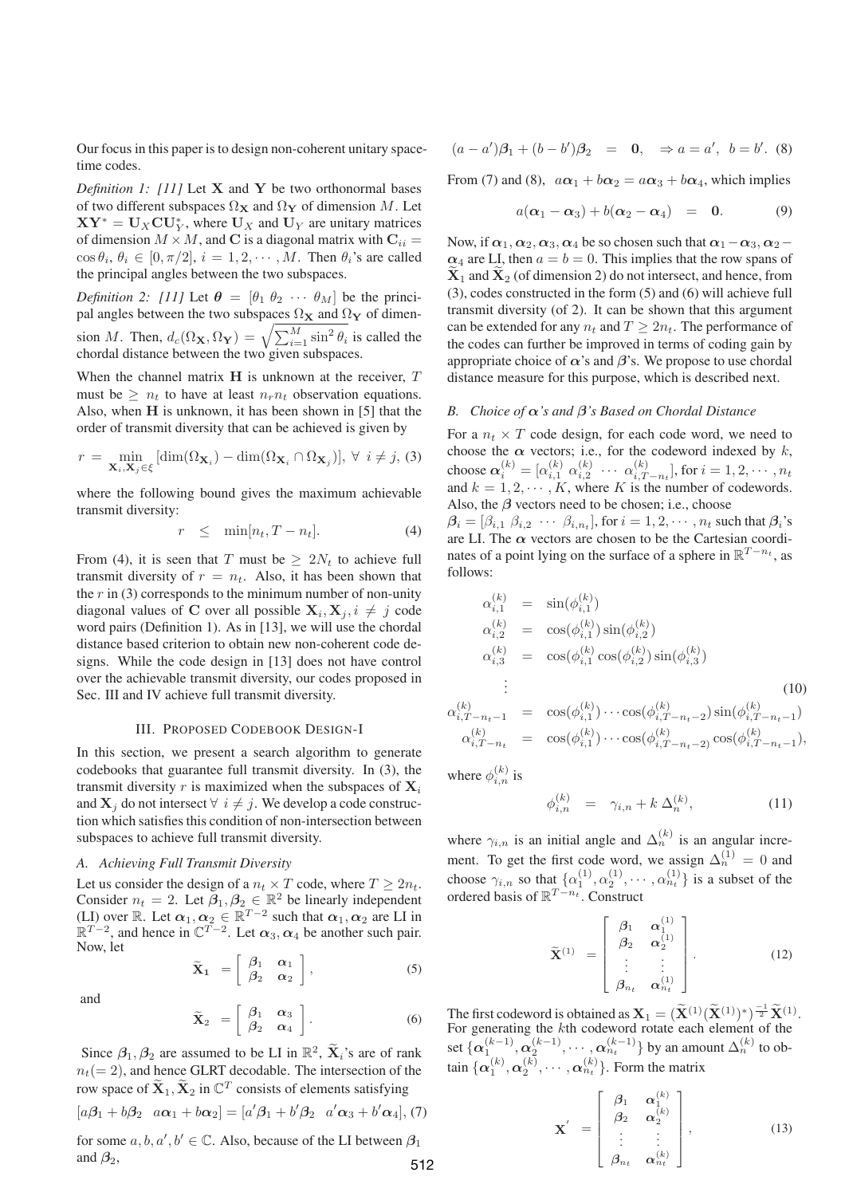Our focus in this paper is to design non-coherent unitary spacetime codes.

*Definition 1: [11]* Let **X** and **Y** be two orthonormal bases of two different subspaces  $\Omega_X$  and  $\Omega_Y$  of dimension M. Let  $XY^* = U_X \mathbf{CU}_Y^*$ , where  $U_X$  and  $U_Y$  are unitary matrices of dimension  $M \times M$ , and **C** is a diagonal matrix with  $\mathbf{C}_{ii} =$  $\cos \theta_i$ ,  $\theta_i \in [0, \pi/2], i = 1, 2, \cdots, M$ . Then  $\theta_i$ 's are called the principal angles between the two subspaces.

*Definition 2: [11]* Let  $\theta = [\theta_1 \ \theta_2 \ \cdots \ \theta_M]$  be the principal angles between the two subspaces  $\Omega_X$  and  $\Omega_Y$  of dimension *M*. Then,  $d_c(\Omega_{\mathbf{X}}, \Omega_{\mathbf{Y}}) = \sqrt{\sum_{i=1}^{M} \sin^2 \theta_i}$  is called the chordal distance between the two given subspaces.

When the channel matrix **H** is unknown at the receiver, T must be  $\geq n_t$  to have at least  $n_r n_t$  observation equations. Also, when **H** is unknown, it has been shown in [5] that the order of transmit diversity that can be achieved is given by

$$
r = \min_{\mathbf{X}_i, \mathbf{X}_j \in \xi} [\dim(\Omega_{\mathbf{X}_i}) - \dim(\Omega_{\mathbf{X}_i} \cap \Omega_{\mathbf{X}_j})], \ \forall \ i \neq j, \ (3)
$$

where the following bound gives the maximum achievable transmit diversity:

$$
r \leq \min[n_t, T - n_t]. \tag{4}
$$

From (4), it is seen that T must be  $\geq 2N_t$  to achieve full transmit diversity of  $r = n_t$ . Also, it has been shown that the  $r$  in (3) corresponds to the minimum number of non-unity diagonal values of **C** over all possible  $X_i, X_j, i \neq j$  code word pairs (Definition 1). As in [13], we will use the chordal distance based criterion to obtain new non-coherent code designs. While the code design in [13] does not have control over the achievable transmit diversity, our codes proposed in Sec. III and IV achieve full transmit diversity.

## III. PROPOSED CODEBOOK DESIGN-I

In this section, we present a search algorithm to generate codebooks that guarantee full transmit diversity. In (3), the transmit diversity r is maximized when the subspaces of  $\mathbf{X}_i$ and  $X_i$  do not intersect  $\forall i \neq j$ . We develop a code construction which satisfies this condition of non-intersection between subspaces to achieve full transmit diversity.

# *A. Achieving Full Transmit Diversity*

Let us consider the design of a  $n_t \times T$  code, where  $T \geq 2n_t$ . Consider  $n_t = 2$ . Let  $\beta_1, \beta_2 \in \mathbb{R}^2$  be linearly independent (LI) over R. Let  $\alpha_1, \alpha_2 \in \mathbb{R}^{T-2}$  such that  $\alpha_1, \alpha_2$  are LI in  $\mathbb{R}^{T-2}$ , and hence in  $\mathbb{C}^{T-2}$ . Let  $\alpha_3, \alpha_4$  be another such pair. Now, let  $\widetilde{\mathbf{X}}_1 = \begin{bmatrix} \beta_1 & \alpha_1 \\ \beta_2 & \alpha_2 \end{bmatrix}$ 1

*β*<sup>2</sup> *α*<sup>2</sup>

and

$$
\widetilde{\mathbf{X}}_2 = \begin{bmatrix} \beta_1 & \alpha_3 \\ \beta_2 & \alpha_4 \end{bmatrix} . \tag{6}
$$

Since  $\beta_1$ ,  $\beta_2$  are assumed to be LI in  $\mathbb{R}^2$ ,  $\widetilde{\mathbf{X}}_i$ 's are of rank  $n_t(= 2)$ , and hence GLRT decodable. The intersection of the row space of  $\widetilde{\mathbf{X}}_1$ ,  $\widetilde{\mathbf{X}}_2$  in  $\mathbb{C}^T$  consists of elements satisfying  $[a\beta_1 + b\beta_2 \quad a\alpha_1 + b\alpha_2] = [a'\beta_1 + b'\beta_2 \quad a'\alpha_3 + b'\alpha_4],$  (7)

for some  $a, b, a', b' \in \mathbb{C}$ . Also, because of the LI between  $\beta_1$ and  $\beta_2$ , 512

$$
(a-a')\beta_1 + (b-b')\beta_2 = \mathbf{0}, \Rightarrow a = a', b = b'. (8)
$$

From (7) and (8),  $a\alpha_1 + b\alpha_2 = a\alpha_3 + b\alpha_4$ , which implies

$$
a(\alpha_1-\alpha_3)+b(\alpha_2-\alpha_4) = 0. \qquad (9)
$$

Now, if  $\alpha_1, \alpha_2, \alpha_3, \alpha_4$  be so chosen such that  $\alpha_1-\alpha_3, \alpha_2-\alpha_4$  $\alpha_4$  are LI, then  $a = b = 0$ . This implies that the row spans of  $\mathbf{X}_1$  and  $\mathbf{X}_2$  (of dimension 2) do not intersect, and hence, from (3), codes constructed in the form (5) and (6) will achieve full transmit diversity (of 2). It can be shown that this argument can be extended for any  $n_t$  and  $T \geq 2n_t$ . The performance of the codes can further be improved in terms of coding gain by appropriate choice of  $\alpha$ 's and  $\beta$ 's. We propose to use chordal distance measure for this purpose, which is described next.

# *B. Choice of α's and β's Based on Chordal Distance*

For a  $n_t \times T$  code design, for each code word, we need to choose the  $\alpha$  vectors; i.e., for the codeword indexed by k, choose  $\alpha_i^{(k)} = [\alpha_{i,1}^{(k)} \alpha_{i,2}^{(k)} \cdots \alpha_{i,T-n_t}^{(k)}]$ , for  $i = 1, 2, \cdots, n_t$ and  $k = 1, 2, \cdots, K$ , where K is the number of codewords. Also, the  $\beta$  vectors need to be chosen; i.e., choose

 $\beta_i = [\beta_{i,1}, \beta_{i,2}, \cdots, \beta_{i,n_t}],$  for  $i = 1, 2, \cdots, n_t$  such that  $\beta_i$ 's are LI. The  $\alpha$  vectors are chosen to be the Cartesian coordinates of a point lying on the surface of a sphere in  $\mathbb{R}^{T-n_t}$ , as follows:

$$
\alpha_{i,1}^{(k)} = \sin(\phi_{i,1}^{(k)})
$$
\n
$$
\alpha_{i,2}^{(k)} = \cos(\phi_{i,1}^{(k)}) \sin(\phi_{i,2}^{(k)})
$$
\n
$$
\alpha_{i,3}^{(k)} = \cos(\phi_{i,1}^{(k)} \cos(\phi_{i,2}^{(k)}) \sin(\phi_{i,3}^{(k)})
$$
\n
$$
\vdots
$$
\n
$$
\alpha_{i,T-n_t-1}^{(k)} = \cos(\phi_{i,1}^{(k)}) \cdots \cos(\phi_{i,T-n_t-2}^{(k)}) \sin(\phi_{i,T-n_t-1}^{(k)})
$$
\n
$$
\alpha_{i,T-n_t}^{(k)} = \cos(\phi_{i,1}^{(k)}) \cdots \cos(\phi_{i,T-n_t-2}^{(k)}) \cos(\phi_{i,T-n_t-1}^{(k)})
$$
\n(10)

where  $\phi_{i,n}^{(k)}$  is

 $(5)$ 

$$
\phi_{i,n}^{(k)} = \gamma_{i,n} + k \, \Delta_n^{(k)}, \tag{11}
$$

where  $\gamma_{i,n}$  is an initial angle and  $\Delta_n^{(k)}$  is an angular increment. To get the first code word, we assign  $\Delta_n^{(1)} = 0$  and choose  $\gamma_{i,n}$  so that  $\{\alpha_1^{(1)}, \alpha_2^{(1)}, \cdots, \alpha_{n_t}^{(1)}\}$  is a subset of the ordered basis of  $\mathbb{R}^{T-n_t}$ . Construct

$$
\widetilde{\mathbf{X}}^{(1)} = \begin{bmatrix} \beta_1 & \alpha_1^{(1)} \\ \beta_2 & \alpha_2^{(1)} \\ \vdots & \vdots \\ \beta_{n_t} & \alpha_{n_t}^{(1)} \end{bmatrix} . \tag{12}
$$

The first codeword is obtained as  $\mathbf{X}_1 = (\widetilde{\mathbf{X}}^{(1)}(\widetilde{\mathbf{X}}^{(1)})^*)^{\frac{-1}{2}} \widetilde{\mathbf{X}}^{(1)}$ . For generating the  $k$ th codeword rotate each element of the set  $\{\alpha_1^{(k-1)}, \alpha_2^{(k-1)}, \cdots, \alpha_{n_t}^{(k-1)}\}$  by an amount  $\Delta_n^{(k)}$  to obtain  $\{\boldsymbol{\alpha}_1^{(k)}, \boldsymbol{\alpha}_2^{(k)}, \cdots, \boldsymbol{\alpha}_{n_t}^{(k)}\}$ . Form the matrix

$$
\mathbf{X}' = \begin{bmatrix} \beta_1 & \alpha_1^{(k)} \\ \beta_2 & \alpha_2^{(k)} \\ \vdots & \vdots \\ \beta_{n_t} & \alpha_{n_t}^{(k)} \end{bmatrix},
$$
(13)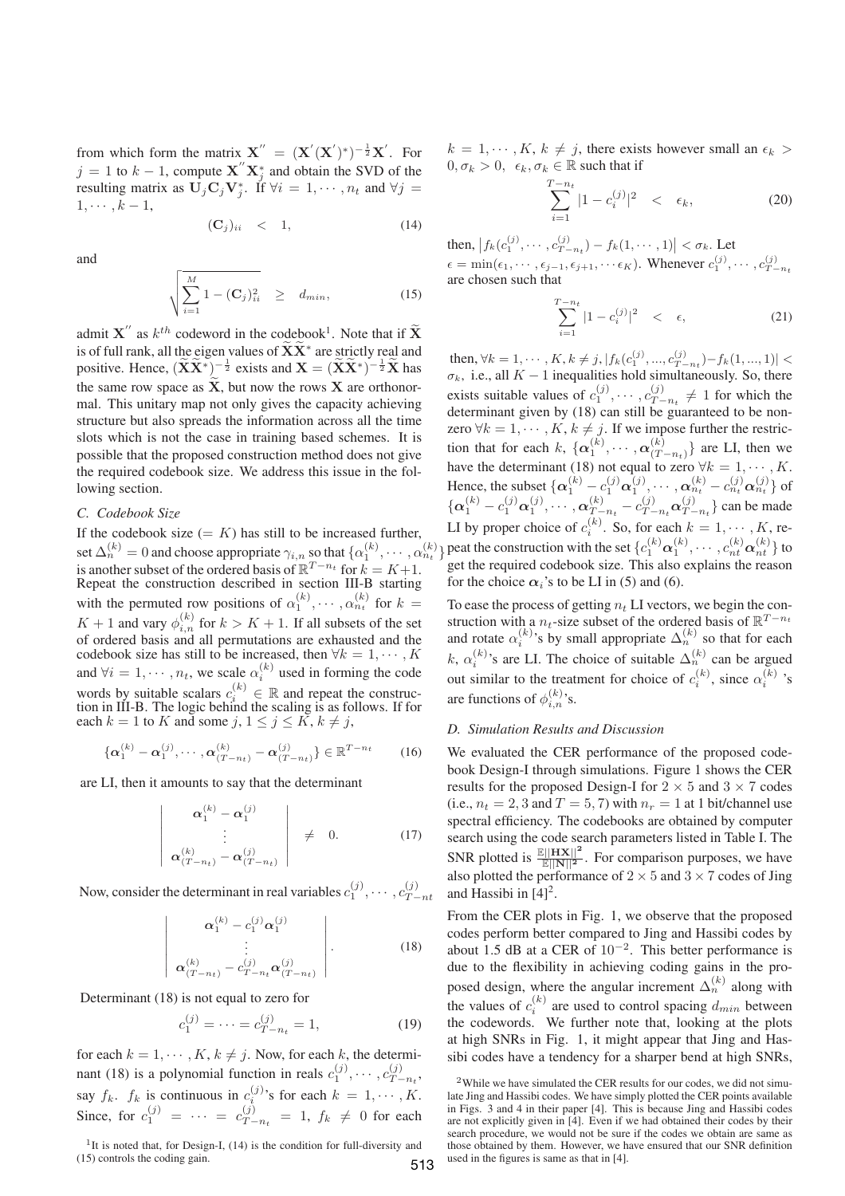from which form the matrix  $X'' = (X'(X')^*)^{-\frac{1}{2}}X'$ . For  $j = 1$  to  $k - 1$ , compute  $\mathbf{X}^{"}\mathbf{X}^*_{j}$  and obtain the SVD of the resulting matrix as  $\mathbf{U}_j \mathbf{C}_j \mathbf{V}_j^*$ . If  $\forall i = 1, \dots, n_t$  and  $\forall j =$  $1, \cdots, k-1,$ 

$$
(\mathbf{C}_j)_{ii} \quad < \quad 1,\tag{14}
$$

and

$$
\sqrt{\sum_{i=1}^{M} 1 - (\mathbf{C}_j)_{ii}^2} \geq d_{min},
$$
\n(15)

admit  $\mathbf{X}^{"}$  as  $k^{th}$  codeword in the codebook<sup>1</sup>. Note that if  $\widetilde{\mathbf{X}}$ is of full rank, all the eigen values of  $\widetilde{\mathbf{X}} \widetilde{\mathbf{X}}^*$  are strictly real and positive. Hence,  $(\widetilde{\mathbf{X}} \widetilde{\mathbf{X}}^*)^{-\frac{1}{2}}$  exists and  $\mathbf{X} = (\widetilde{\mathbf{X}} \widetilde{\mathbf{X}}^*)^{-\frac{1}{2}} \widetilde{\mathbf{X}}$  has the same row space as  $\tilde{\mathbf{X}}$ , but now the rows  $\tilde{\mathbf{X}}$  are orthonormal. This unitary map not only gives the capacity achieving structure but also spreads the information across all the time slots which is not the case in training based schemes. It is possible that the proposed construction method does not give the required codebook size. We address this issue in the following section.

#### *C. Codebook Size*

If the codebook size  $(= K)$  has still to be increased further, set  $\Delta_n^{(k)} = 0$  and choose appropriate  $\gamma_{i,n}$  so that  $\{\alpha_1^{(k)}, \cdots, \alpha_{n_t}^{(k)}\}$ is another subset of the ordered basis of  $\mathbb{R}^{T-n_t}$  for  $k = K+1$ . Repeat the construction described in section III-B starting with the permuted row positions of  $\alpha_1^{(k)}$ ,  $\cdots$ ,  $\alpha_{n_t}^{(k)}$  for  $k =$  $K + 1$  and vary  $\phi_{i,n}^{(k)}$  for  $k > K + 1$ . If all subsets of the set of ordered basis and all permutations are exhausted and the codebook size has still to be increased, then  $\forall k = 1, \cdots, K$ and  $\forall i = 1, \dots, n_t$ , we scale  $\alpha_i^{(k)}$  used in forming the code words by suitable scalars  $c_i^{(k)} \in \mathbb{R}$  and repeat the construction in III-B. The logic behind the scaling is as follows. If for each  $k = 1$  to K and some  $j, 1 \le j \le K$ ,  $k \ne j$ ,

$$
\{\alpha_1^{(k)} - \alpha_1^{(j)}, \cdots, \alpha_{(T-n_t)}^{(k)} - \alpha_{(T-n_t)}^{(j)}\} \in \mathbb{R}^{T-n_t}
$$
 (16)

are LI, then it amounts to say that the determinant

$$
\begin{vmatrix}\n\alpha_1^{(k)} - \alpha_1^{(j)} \\
\vdots \\
\alpha_{(T-n_t)}^{(k)} - \alpha_{(T-n_t)}^{(j)}\n\end{vmatrix} \neq 0.
$$
\n(17)

Now, consider the determinant in real variables  $c_1^{(j)}$ ,  $\cdots$ ,  $c_{T-nt}^{(j)}$ 

$$
\boldsymbol{\alpha}_{1}^{(k)} - c_{1}^{(j)} \boldsymbol{\alpha}_{1}^{(j)}
$$
  
\n
$$
\vdots
$$
  
\n
$$
\boldsymbol{\alpha}_{(T-n_{t})}^{(k)} - c_{T-n_{t}}^{(j)} \boldsymbol{\alpha}_{(T-n_{t})}^{(j)}
$$
\n(18)

Determinant (18) is not equal to zero for

 $\frac{1}{2}$  $\mathbf{\mathbf{I}}$  $\mathsf{I}$  $\overline{\phantom{a}}$  $\mathbf{\mathbf{I}}$  $\mathsf{I}$  $\overline{\phantom{a}}$  $\overline{\phantom{a}}$ 

$$
c_1^{(j)} = \dots = c_{T-n_t}^{(j)} = 1,\tag{19}
$$

for each  $k = 1, \dots, K, k \neq j$ . Now, for each k, the determinant (18) is a polynomial function in reals  $c_1^{(j)}$ ,  $\cdots$ ,  $c_{T-n_t}^{(j)}$ , say  $f_k$ .  $f_k$  is continuous in  $c_i^{(j)}$ 's for each  $k = 1, \dots, K$ . Since, for  $c_1^{(j)} = \cdots = c_{T-n_t}^{(j)} = 1$ ,  $f_k \neq 0$  for each

<sup>1</sup>It is noted that, for Design-I,  $(14)$  is the condition for full-diversity and (15) controls the coding gain.

 $k = 1, \dots, K, k \neq j$ , there exists however small an  $\epsilon_k$  $0, \sigma_k > 0, \epsilon_k, \sigma_k \in \mathbb{R}$  such that if

$$
\sum_{i=1}^{T-n_t} |1 - c_i^{(j)}|^2 \quad < \quad \epsilon_k,\tag{20}
$$

then,  $|f_k(c_1^{(j)}, \dots, c_{T-n_t}^{(j)}) - f_k(1, \dots, 1)| < \sigma_k$ . Let  $\epsilon = \min(\epsilon_1, \cdots, \epsilon_{j-1}, \epsilon_{j+1}, \cdots \epsilon_K)$ . Whenever  $c_1^{(j)}, \cdots, c_{T-n_t}^{(j)}$ are chosen such that

$$
\sum_{i=1}^{T-n_t} |1 - c_i^{(j)}|^2 \quad < \quad \epsilon,\tag{21}
$$

then,  $\forall k = 1, \dots, K, k \neq j, |f_k(c_1^{(j)}, ..., c_{T-n_t}^{(j)}) - f_k(1, ..., 1)| <$  $\sigma_k$ , i.e., all  $K - 1$  inequalities hold simultaneously. So, there exists suitable values of  $c_1^{(j)}$ ,  $\cdots$ ,  $c_{T-n_t}^{(j)} \neq 1$  for which the determinant given by (18) can still be guaranteed to be nonzero  $\forall k = 1, \dots, K, k \neq j$ . If we impose further the restriction that for each k,  $\{\alpha_1^{(k)}, \cdots, \alpha_{(T-n_t)}^{(k)}\}$  are LI, then we have the determinant (18) not equal to zero  $\forall k = 1, \cdots, K$ . Hence, the subset  $\{\alpha_1^{(k)} - c_1^{(j)}\alpha_1^{(j)}, \cdots, \alpha_{n_t}^{(k)} - c_{n_t}^{(j)}\alpha_{n_t}^{(j)}\}$  of  $\{\boldsymbol{\alpha}_1^{(k)}-c_1^{(j)}\boldsymbol{\alpha}_1^{(j)}, \cdots, \boldsymbol{\alpha}_{T-n_t}^{(k)}-c_{T-}^{(j)}\}$  $_{T-n_t}^{(j)}\boldsymbol{\alpha}_{T-n_t}^{(j)}\}$  can be made LI by proper choice of  $c_i^{(k)}$ . So, for each  $k = 1, \dots, K$ , repeat the construction with the set  $\{c_1^{(k)}\boldsymbol{\alpha}_1^{(k)},\cdots,c_{nt}^{(k)}\boldsymbol{\alpha}_{nt}^{(k)}\}$  to get the required codebook size. This also explains the reason for the choice  $\alpha_i$ 's to be LI in (5) and (6).

To ease the process of getting  $n_t$  LI vectors, we begin the construction with a  $n_t$ -size subset of the ordered basis of  $\mathbb{R}^{T-n_t}$ and rotate  $\alpha_i^{(k)}$ 's by small appropriate  $\Delta_n^{(k)}$  so that for each k,  $\alpha_i^{(k)}$ 's are LI. The choice of suitable  $\Delta_n^{(k)}$  can be argued out similar to the treatment for choice of  $c_i^{(k)}$ , since  $\alpha_i^{(k)}$  's are functions of  $\phi_{i,n}^{(k)}$ 's.

# *D. Simulation Results and Discussion*

We evaluated the CER performance of the proposed codebook Design-I through simulations. Figure 1 shows the CER results for the proposed Design-I for  $2 \times 5$  and  $3 \times 7$  codes (i.e.,  $n_t = 2$ , 3 and  $T = 5$ , 7) with  $n_r = 1$  at 1 bit/channel use spectral efficiency. The codebooks are obtained by computer search using the code search parameters listed in Table I. The SNR plotted is  $\frac{\mathbb{E}||\mathbf{H}\mathbf{X}||^2}{\mathbb{E}||\mathbf{N}||^2}$ . For comparison purposes, we have also plotted the performance of  $2 \times 5$  and  $3 \times 7$  codes of Jing and Hassibi in  $[4]<sup>2</sup>$ .

From the CER plots in Fig. 1, we observe that the proposed codes perform better compared to Jing and Hassibi codes by about 1.5 dB at a CER of  $10^{-2}$ . This better performance is due to the flexibility in achieving coding gains in the proposed design, where the angular increment  $\Delta_n^{(k)}$  along with the values of  $c_i^{(k)}$  are used to control spacing  $d_{min}$  between the codewords. We further note that, looking at the plots at high SNRs in Fig. 1, it might appear that Jing and Hassibi codes have a tendency for a sharper bend at high SNRs,

<sup>2</sup>While we have simulated the CER results for our codes, we did not simulate Jing and Hassibi codes. We have simply plotted the CER points available in Figs. 3 and 4 in their paper [4]. This is because Jing and Hassibi codes are not explicitly given in [4]. Even if we had obtained their codes by their search procedure, we would not be sure if the codes we obtain are same as those obtained by them. However, we have ensured that our SNR definition 513 used in the figures is same as that in [4].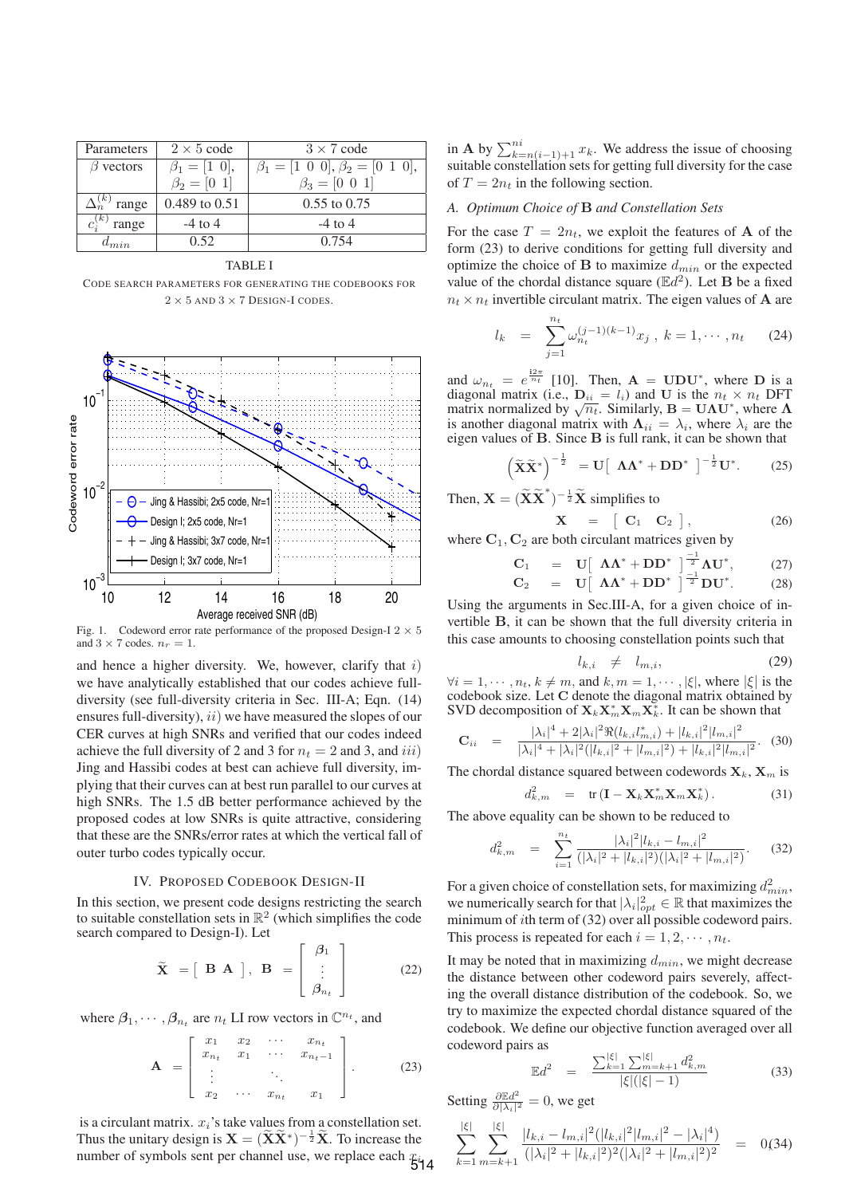| Parameters                         | $2 \times 5$ code     | $3 \times 7$ code                               |
|------------------------------------|-----------------------|-------------------------------------------------|
| $\beta$ vectors                    | $\beta_1 = [1 \; 0],$ | $\beta_1 = [1 \ 0 \ 0], \beta_2 = [0 \ 1 \ 0],$ |
|                                    | $\beta_2 = [0 \; 1]$  | $\beta_3 = [0 \ 0 \ 1]$                         |
| $\Delta_n^{(k)}$<br>$\theta$ range | 0.489 to 0.51         | $0.55$ to $0.75$                                |
| $c^{(k)}$<br>range                 | $-4$ to 4             | $-4$ to 4                                       |
| $d_{min}$                          | 0.52                  | 0.754                                           |

#### TABLE I

CODE SEARCH PARAMETERS FOR GENERATING THE CODEBOOKS FOR 2 *×* 5 AND 3 *×* 7 DESIGN-I CODES.



Fig. 1. Codeword error rate performance of the proposed Design-I  $2 \times 5$ and  $3 \times 7$  codes.  $n_r = 1$ .

and hence a higher diversity. We, however, clarify that  $i$ ) we have analytically established that our codes achieve fulldiversity (see full-diversity criteria in Sec. III-A; Eqn. (14) ensures full-diversity),  $ii)$  we have measured the slopes of our CER curves at high SNRs and verified that our codes indeed achieve the full diversity of 2 and 3 for  $n_t = 2$  and 3, and iii) Jing and Hassibi codes at best can achieve full diversity, implying that their curves can at best run parallel to our curves at high SNRs. The 1.5 dB better performance achieved by the proposed codes at low SNRs is quite attractive, considering that these are the SNRs/error rates at which the vertical fall of outer turbo codes typically occur.

## IV. PROPOSED CODEBOOK DESIGN-II

In this section, we present code designs restricting the search to suitable constellation sets in  $\mathbb{R}^2$  (which simplifies the code search compared to Design-I). Let

$$
\widetilde{\mathbf{X}} = [\mathbf{B} \mathbf{A}], \mathbf{B} = \begin{bmatrix} \beta_1 \\ \vdots \\ \beta_{n_t} \end{bmatrix}
$$
 (22)

where  $\beta_1, \dots, \beta_{n_t}$  are  $n_t$  LI row vectors in  $\mathbb{C}^{n_t}$ , and

$$
\mathbf{A} = \begin{bmatrix} x_1 & x_2 & \cdots & x_{n_t} \\ x_{n_t} & x_1 & \cdots & x_{n_t-1} \\ \vdots & & \ddots & \\ x_2 & \cdots & x_{n_t} & x_1 \end{bmatrix} .
$$
 (23)

is a circulant matrix.  $x_i$ 's take values from a constellation set. Thus the unitary design is  $\mathbf{X} = (\widetilde{\mathbf{X}} \widetilde{\mathbf{X}}^*)^{-\frac{1}{2}} \widetilde{\mathbf{X}}$ . To increase the number of symbols sent per channel use, we replace each  $x_i$ <sup>4</sup>

in **A** by  $\sum_{k=n(i-1)+1}^{ni} x_k$ . We address the issue of choosing suitable constellation sets for getting full diversity for the case of  $T = 2n_t$  in the following section.

# *A. Optimum Choice of* **B** *and Constellation Sets*

For the case  $T = 2n_t$ , we exploit the features of **A** of the form (23) to derive conditions for getting full diversity and optimize the choice of **B** to maximize  $d_{min}$  or the expected value of the chordal distance square  $(\mathbb{E}d^2)$ . Let **B** be a fixed  $n_t \times n_t$  invertible circulant matrix. The eigen values of **A** are

$$
l_k = \sum_{j=1}^{n_t} \omega_{n_t}^{(j-1)(k-1)} x_j, \ k = 1, \cdots, n_t \qquad (24)
$$

and  $\omega_{n_t} = e^{\frac{i2\pi}{n_t}}$  [10]. Then,  $\mathbf{A} = \mathbf{U} \mathbf{D} \mathbf{U}^*$ , where  $\mathbf{D}$  is a diagonal matrix (i.e.,  $\mathbf{D}_{ii} = l_i$ ) and  $\mathbf{U}$  is the  $n_t \times n_t$  DFT matrix normalized by  $\sqrt{n_t}$ . Similarly,  $\mathbf{B} = \mathbf{U} \mathbf{\Lambda}$ is another diagonal matrix with  $\Lambda_{ii} = \lambda_i$ , where  $\lambda_i$  are the eigen values of **B**. Since **B** is full rank, it can be shown that

$$
\left(\widetilde{\mathbf{X}}\widetilde{\mathbf{X}}^*\right)^{-\frac{1}{2}} = \mathbf{U}\left[\begin{array}{cc} \mathbf{\Lambda}\mathbf{\Lambda}^* + \mathbf{D}\mathbf{D}^* \end{array}\right]^{-\frac{1}{2}}\mathbf{U}^*.\tag{25}
$$

Then,  $\mathbf{X} = (\widetilde{\mathbf{X}} \widetilde{\mathbf{X}}^*)^{-\frac{1}{2}} \widetilde{\mathbf{X}}$  simplifies to  $X = \begin{bmatrix} C_1 & C_2 \end{bmatrix}$ 

where 
$$
C_1, C_2
$$
 are both circular matrices given by

$$
C_1 = U \left[ \begin{array}{cc} \Lambda \Lambda^* + DD^* \end{array} \right]^{-1} \left. \Lambda U^*, \right. \tag{27}
$$

$$
\mathbf{C}_2 = \mathbf{U} \left[ \begin{array}{cc} \mathbf{\Lambda} \mathbf{\Lambda}^* + \mathbf{D} \mathbf{D}^* \end{array} \right]^{-1} \mathbf{D} \mathbf{U}^* \tag{28}
$$

Using the arguments in Sec.III-A, for a given choice of invertible **B**, it can be shown that the full diversity criteria in this case amounts to choosing constellation points such that

$$
l_{k,i} \neq l_{m,i}, \tag{29}
$$

 $(26)$ 

 $\forall i = 1, \dots, n_t, k \neq m$ , and  $k, m = 1, \dots, |\xi|$ , where  $|\xi|$  is the codebook size. Let **C** denote the diagonal matrix obtained by SVD decomposition of  $\mathbf{X}_k \mathbf{X}_m^* \mathbf{X}_m \mathbf{X}_k^*$ . It can be shown that

$$
\mathbf{C}_{ii} = \frac{|\lambda_i|^4 + 2|\lambda_i|^2 \Re(l_{k,i}l_{m,i}^*) + |l_{k,i}|^2 |l_{m,i}|^2}{|\lambda_i|^4 + |\lambda_i|^2 (|l_{k,i}|^2 + |l_{m,i}|^2) + |l_{k,i}|^2 |l_{m,i}|^2}.
$$
 (30)

The chordal distance squared between codewords  $X_k$ ,  $X_m$  is

$$
d_{k,m}^2 = \text{tr}(\mathbf{I} - \mathbf{X}_k \mathbf{X}_m^* \mathbf{X}_m \mathbf{X}_k^*).
$$
 (31)

The above equality can be shown to be reduced to

$$
d_{k,m}^2 = \sum_{i=1}^{n_t} \frac{|\lambda_i|^2 |l_{k,i} - l_{m,i}|^2}{(|\lambda_i|^2 + |l_{k,i}|^2)(|\lambda_i|^2 + |l_{m,i}|^2)}.
$$
 (32)

For a given choice of constellation sets, for maximizing  $d_{min}^2$ , we numerically search for that  $|\lambda_i|^2_{opt} \in \mathbb{R}$  that maximizes the minimum of *i*th term of (32) over all possible codeword pairs. This process is repeated for each  $i = 1, 2, \cdots, n_t$ .

It may be noted that in maximizing  $d_{min}$ , we might decrease the distance between other codeword pairs severely, affecting the overall distance distribution of the codebook. So, we try to maximize the expected chordal distance squared of the codebook. We define our objective function averaged over all codeword pairs as

$$
\mathbb{E}d^{2} = \frac{\sum_{k=1}^{|\xi|} \sum_{m=k+1}^{|\xi|} d_{k,m}^{2}}{|\xi|(|\xi|-1)}
$$
(33)

Setting  $\frac{\partial \mathbb{E}d^2}{\partial |\lambda_i|^2} = 0$ , we get

$$
\sum_{k=1}^{|\xi|} \sum_{m=k+1}^{|\xi|} \frac{|l_{k,i} - l_{m,i}|^2 (|l_{k,i}|^2 |l_{m,i}|^2 - |\lambda_i|^4)}{(|\lambda_i|^2 + |l_{k,i}|^2)^2 (|\lambda_i|^2 + |l_{m,i}|^2)^2} = 0(34)
$$